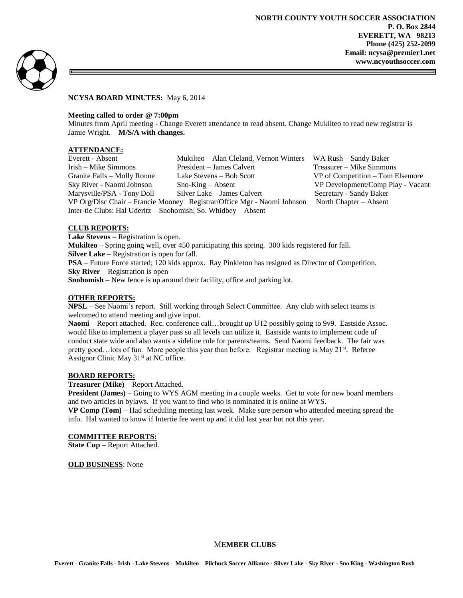

### **NCYSA BOARD MINUTES:** May 6, 2014

### **Meeting called to order @ 7:00pm**

Minutes from April meeting - Change Everett attendance to read absent. Change Mukilteo to read new registrar is Jamie Wright. **M/S/A with changes.**

# **ATTENDANCE:**

| Everett - Absent                                                        | Mukilteo – Alan Cleland, Vernon Winters WA Rush – Sandy Baker |                                   |
|-------------------------------------------------------------------------|---------------------------------------------------------------|-----------------------------------|
| Irish – Mike Simmons                                                    | President – James Calvert                                     | Treasurer – Mike Simmons          |
| Granite Falls - Molly Ronne                                             | Lake Stevens – Bob Scott                                      | VP of Competition – Tom Elsemore  |
| Sky River - Naomi Johnson                                               | $Sno-King - Absent$                                           | VP Development/Comp Play - Vacant |
| Marysville/PSA - Tony Doll                                              | Silver Lake – James Calvert                                   | Secretary - Sandy Baker           |
| VP Org/Disc Chair - Francie Mooney Registrar/Office Mgr - Naomi Johnson |                                                               | North Chapter – Absent            |
| Inter-tie Clubs: Hal Uderitz – Snohomish; So. Whidbey – Absent          |                                                               |                                   |

# **CLUB REPORTS:**

**Lake Stevens** – Registration is open.

**Mukilteo** – Spring going well, over 450 participating this spring. 300 kids registered for fall. **Silver Lake** – Registration is open for fall.

**PSA** – Future Force started; 120 kids approx. Ray Pinkleton has resigned as Director of Competition. **Sky River** – Registration is open

**Snohomish** – New fence is up around their facility, office and parking lot.

# **OTHER REPORTS:**

**NPSL** – See Naomi's report. Still working through Select Committee. Any club with select teams is welcomed to attend meeting and give input.

**Naomi** – Report attached. Rec. conference call…brought up U12 possibly going to 9v9. Eastside Assoc. would like to implement a player pass so all levels can utilize it. Eastside wants to implement code of conduct state wide and also wants a sideline rule for parents/teams. Send Naomi feedback. The fair was pretty good...lots of fun. More people this year than before. Registrar meeting is May 21<sup>st</sup>. Referee Assignor Clinic May 31<sup>st</sup> at NC office.

# **BOARD REPORTS:**

**Treasurer (Mike)** – Report Attached.

**President (James)** – Going to WYS AGM meeting in a couple weeks. Get to vote for new board members and two articles in bylaws. If you want to find who is nominated it is online at WYS.

**VP Comp (Tom)** – Had scheduling meeting last week. Make sure person who attended meeting spread the info. Hal wanted to know if Intertie fee went up and it did last year but not this year.

## **COMMITTEE REPORTS:**

**State Cup** – Report Attached.

**OLD BUSINESS**: None

# M**EMBER CLUBS**